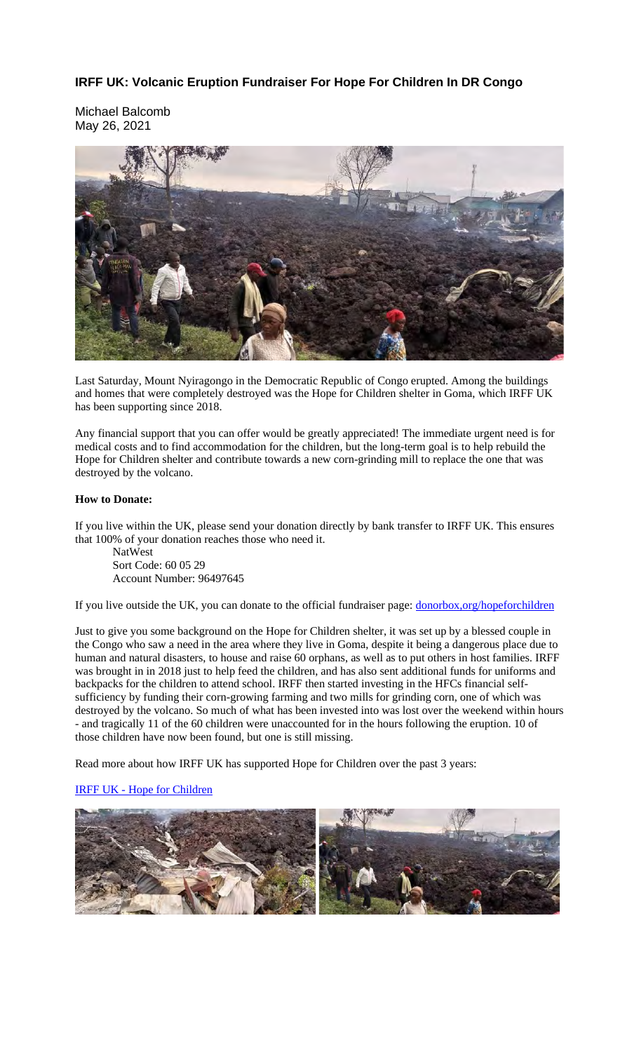## **IRFF UK: Volcanic Eruption Fundraiser For Hope For Children In DR Congo**

Michael Balcomb May 26, 2021



Last Saturday, Mount Nyiragongo in the Democratic Republic of Congo erupted. Among the buildings and homes that were completely destroyed was the Hope for Children shelter in Goma, which IRFF UK has been supporting since 2018.

Any financial support that you can offer would be greatly appreciated! The immediate urgent need is for medical costs and to find accommodation for the children, but the long-term goal is to help rebuild the Hope for Children shelter and contribute towards a new corn-grinding mill to replace the one that was destroyed by the volcano.

## **How to Donate:**

If you live within the UK, please send your donation directly by bank transfer to IRFF UK. This ensures that 100% of your donation reaches those who need it.

NatWest Sort Code: 60 05 29 Account Number: 96497645

If you live outside the UK, you can donate to the official fundraiser page: donorbox,org/hopeforchildren

Just to give you some background on the Hope for Children shelter, it was set up by a blessed couple in the Congo who saw a need in the area where they live in Goma, despite it being a dangerous place due to human and natural disasters, to house and raise 60 orphans, as well as to put others in host families. IRFF was brought in in 2018 just to help feed the children, and has also sent additional funds for uniforms and backpacks for the children to attend school. IRFF then started investing in the HFCs financial selfsufficiency by funding their corn-growing farming and two mills for grinding corn, one of which was destroyed by the volcano. So much of what has been invested into was lost over the weekend within hours - and tragically 11 of the 60 children were unaccounted for in the hours following the eruption. 10 of those children have now been found, but one is still missing.

Read more about how IRFF UK has supported Hope for Children over the past 3 years:

## IRFF UK - Hope for Children

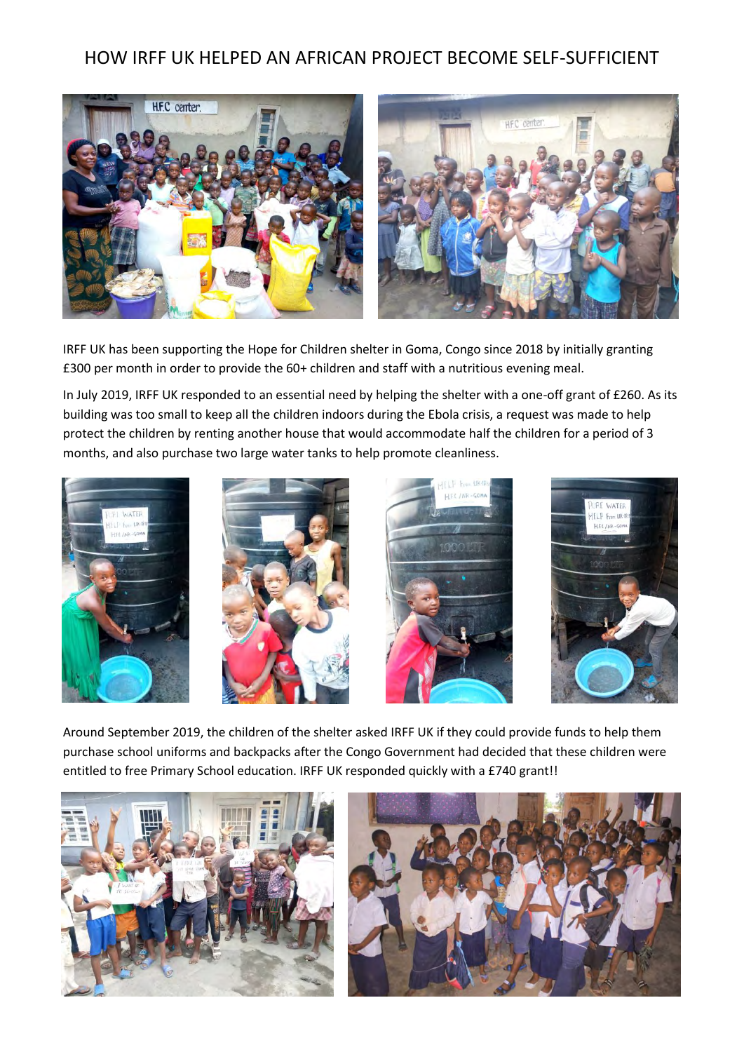## HOW IRFF UK HELPED AN AFRICAN PROJECT BECOME SELF-SUFFICIENT



IRFF UK has been supporting the Hope for Children shelter in Goma, Congo since 2018 by initially granting £300 per month in order to provide the 60+ children and staff with a nutritious evening meal.

In July 2019, IRFF UK responded to an essential need by helping the shelter with a one-off grant of £260. As its building was too small to keep all the children indoors during the Ebola crisis, a request was made to help protect the children by renting another house that would accommodate half the children for a period of 3 months, and also purchase two large water tanks to help promote cleanliness.









Around September 2019, the children of the shelter asked IRFF UK if they could provide funds to help them purchase school uniforms and backpacks after the Congo Government had decided that these children were entitled to free Primary School education. IRFF UK responded quickly with a £740 grant!!